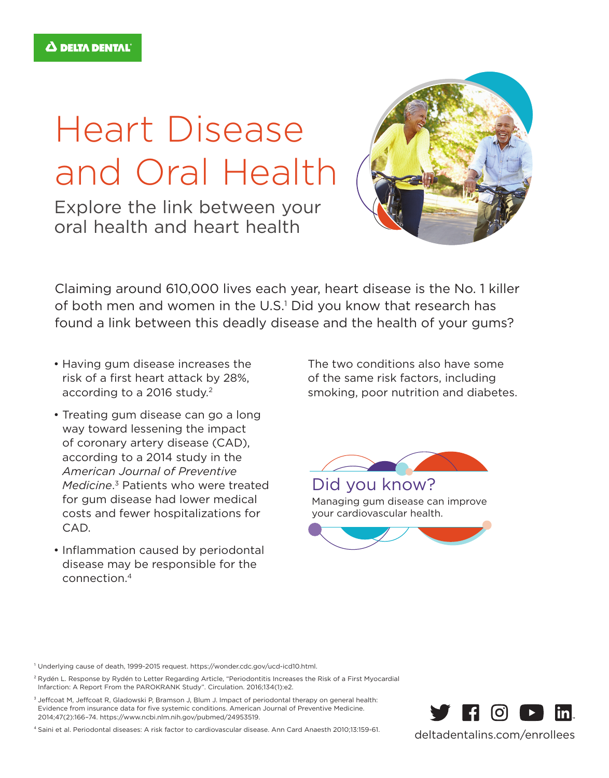## Heart Disease and Oral Health

Explore the link between your oral health and heart health



Claiming around 610,000 lives each year, heart disease is the No. 1 killer of both men and women in the U.S.<sup>1</sup> Did you know that research has found a link between this deadly disease and the health of your gums?

- Having gum disease increases the risk of a first heart attack by 28%, according to a 2016 study.<sup>2</sup>
- Treating gum disease can go a long way toward lessening the impact of coronary artery disease (CAD), according to a 2014 study in the *American Journal of Preventive Medicine*. 3 Patients who were treated for gum disease had lower medical costs and fewer hospitalizations for CAD.
- Inflammation caused by periodontal disease may be responsible for the connection.4

The two conditions also have some of the same risk factors, including smoking, poor nutrition and diabetes.



Managing gum disease can improve your cardiovascular health.



<sup>3</sup> Jeffcoat M, Jeffcoat R, Gladowski P, Bramson J, Blum J. Impact of periodontal therapy on general health: Evidence from insurance data for five systemic conditions. American Journal of Preventive Medicine. 2014;47(2):166–74. https://www.ncbi.nlm.nih.gov/pubmed/24953519.

4 Saini et al. Periodontal diseases: A risk factor to cardiovascular disease. Ann Card Anaesth 2010;13:159-61.



deltadentalins.com/enrollees

<sup>1</sup> Underlying cause of death, 1999-2015 request. https://wonder.cdc.gov/ucd-icd10.html.

<sup>&</sup>lt;sup>2</sup> Rydén L. Response by Rydén to Letter Regarding Article, "Periodontitis Increases the Risk of a First Myocardial Infarction: A Report From the PAROKRANK Study". Circulation. 2016;134(1):e2.